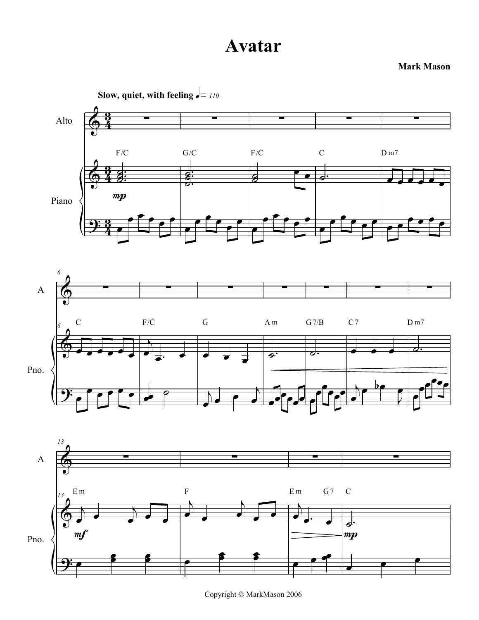Mark Mason



Copyright © MarkMason 2006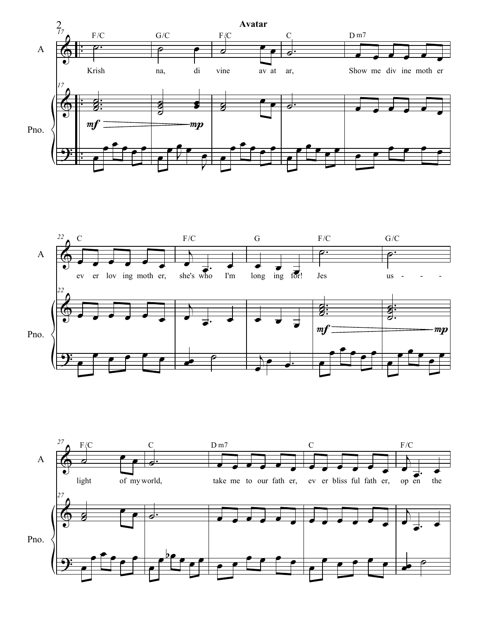



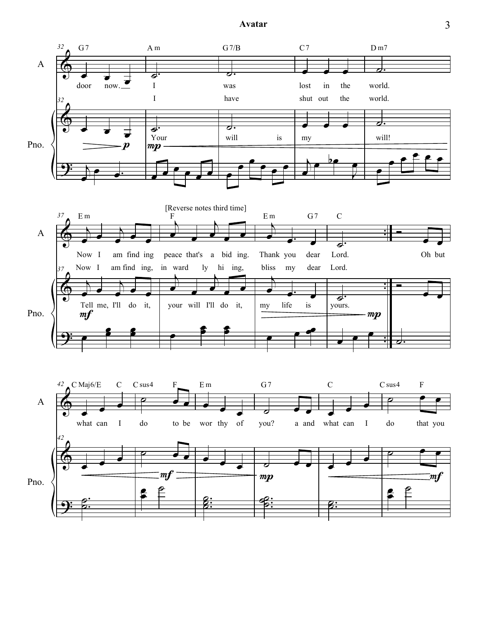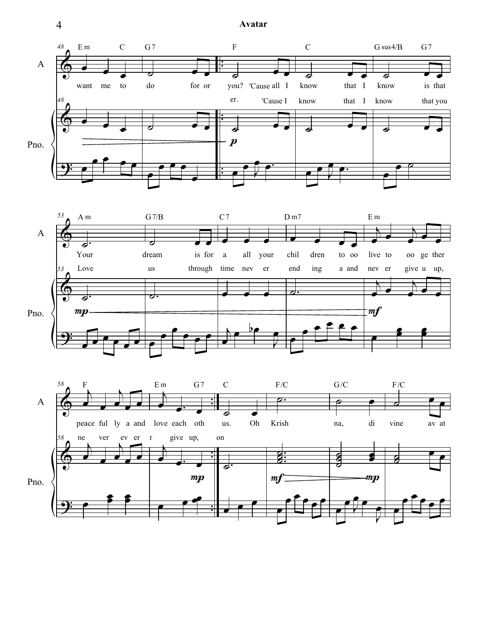